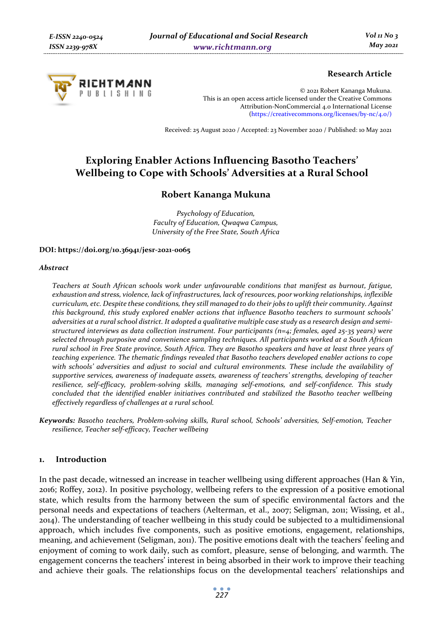

# **Research Article**

© 2021 Robert Kananga Mukuna. This is an open access article licensed under the Creative Commons Attribution-NonCommercial 4.0 International License (https://creativecommons.org/licenses/by-nc/4.0/)

Received: 25 August 2020 / Accepted: 23 November 2020 / Published: 10 May 2021

# **Exploring Enabler Actions Influencing Basotho Teachers' Wellbeing to Cope with Schools' Adversities at a Rural School**

# **Robert Kananga Mukuna**

*Psychology of Education, Faculty of Education, Qwaqwa Campus, University of the Free State, South Africa* 

## **DOI: https://doi.org/10.36941/jesr-2021-0065**

#### *Abstract*

*Teachers at South African schools work under unfavourable conditions that manifest as burnout, fatigue, exhaustion and stress, violence, lack of infrastructures, lack of resources, poor working relationships, inflexible curriculum, etc. Despite these conditions, they still managed to do their jobs to uplift their community. Against this background, this study explored enabler actions that influence Basotho teachers to surmount schools' adversities at a rural school district. It adopted a qualitative multiple case study as a research design and semistructured interviews as data collection instrument. Four participants (n=4; females, aged 25-35 years) were selected through purposive and convenience sampling techniques. All participants worked at a South African rural school in Free State province, South Africa. They are Basotho speakers and have at least three years of teaching experience. The thematic findings revealed that Basotho teachers developed enabler actions to cope with schools' adversities and adjust to social and cultural environments. These include the availability of supportive services, awareness of inadequate assets, awareness of teachers' strengths, developing of teacher resilience, self-efficacy, problem-solving skills, managing self-emotions, and self-confidence. This study concluded that the identified enabler initiatives contributed and stabilized the Basotho teacher wellbeing effectively regardless of challenges at a rural school.* 

*Keywords: Basotho teachers, Problem-solving skills, Rural school, Schools' adversities, Self-emotion, Teacher resilience, Teacher self-efficacy, Teacher wellbeing* 

## **1. Introduction**

In the past decade, witnessed an increase in teacher wellbeing using different approaches (Han & Yin, 2016; Roffey, 2012). In positive psychology, wellbeing refers to the expression of a positive emotional state, which results from the harmony between the sum of specific environmental factors and the personal needs and expectations of teachers (Aelterman, et al., 2007; Seligman, 2011; Wissing, et al., 2014). The understanding of teacher wellbeing in this study could be subjected to a multidimensional approach, which includes five components, such as positive emotions, engagement, relationships, meaning, and achievement (Seligman, 2011). The positive emotions dealt with the teachers' feeling and enjoyment of coming to work daily, such as comfort, pleasure, sense of belonging, and warmth. The engagement concerns the teachers' interest in being absorbed in their work to improve their teaching and achieve their goals. The relationships focus on the developmental teachers' relationships and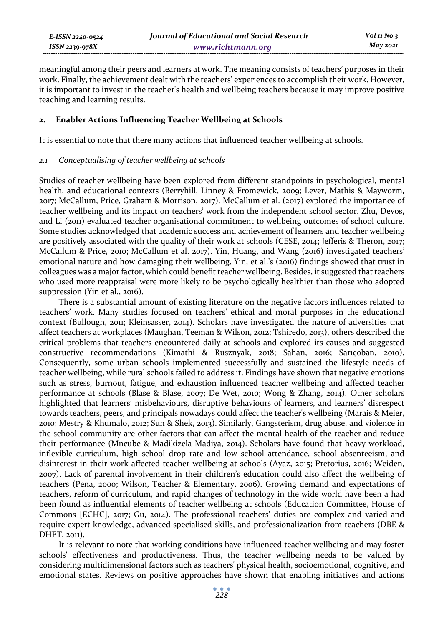| E-ISSN 2240-0524 | Journal of Educational and Social Research | Vol 11 No 3     |
|------------------|--------------------------------------------|-----------------|
| ISSN 2239-978X   | www.richtmann.org                          | <b>May 2021</b> |

meaningful among their peers and learners at work. The meaning consists of teachers' purposes in their work. Finally, the achievement dealt with the teachers' experiences to accomplish their work. However, it is important to invest in the teacher's health and wellbeing teachers because it may improve positive teaching and learning results.

 $N$ о з

## **2. Enabler Actions Influencing Teacher Wellbeing at Schools**

It is essential to note that there many actions that influenced teacher wellbeing at schools.

## *2.1 Conceptualising of teacher wellbeing at schools*

Studies of teacher wellbeing have been explored from different standpoints in psychological, mental health, and educational contexts (Berryhill, Linney & Fromewick, 2009; Lever, Mathis & Mayworm, 2017; McCallum, Price, Graham & Morrison, 2017). McCallum et al. (2017) explored the importance of teacher wellbeing and its impact on teachers' work from the independent school sector. Zhu, Devos, and Li (2011) evaluated teacher organisational commitment to wellbeing outcomes of school culture. Some studies acknowledged that academic success and achievement of learners and teacher wellbeing are positively associated with the quality of their work at schools (CESE, 2014; Jefferis & Theron, 2017; McCallum & Price, 2010; McCallum et al. 2017). Yin, Huang, and Wang (2016) investigated teachers' emotional nature and how damaging their wellbeing. Yin, et al.'s (2016) findings showed that trust in colleagues was a major factor, which could benefit teacher wellbeing. Besides, it suggested that teachers who used more reappraisal were more likely to be psychologically healthier than those who adopted suppression (Yin et al., 2016).

There is a substantial amount of existing literature on the negative factors influences related to teachers' work. Many studies focused on teachers' ethical and moral purposes in the educational context (Bullough, 2011; Kleinsasser, 2014). Scholars have investigated the nature of adversities that affect teachers at workplaces (Maughan, Teeman & Wilson, 2012; Tshiredo, 2013), others described the critical problems that teachers encountered daily at schools and explored its causes and suggested constructive recommendations (Kimathi & Rusznyak, 2018; Sahan, 2016; Sarıçoban, 2010). Consequently, some urban schools implemented successfully and sustained the lifestyle needs of teacher wellbeing, while rural schools failed to address it. Findings have shown that negative emotions such as stress, burnout, fatigue, and exhaustion influenced teacher wellbeing and affected teacher performance at schools (Blase & Blase, 2007; De Wet, 2010; Wong & Zhang, 2014). Other scholars highlighted that learners' misbehaviours, disruptive behaviours of learners, and learners' disrespect towards teachers, peers, and principals nowadays could affect the teacher's wellbeing (Marais & Meier, 2010; Mestry & Khumalo, 2012; Sun & Shek, 2013). Similarly, Gangsterism, drug abuse, and violence in the school community are other factors that can affect the mental health of the teacher and reduce their performance (Mncube & Madikizela-Madiya, 2014). Scholars have found that heavy workload, inflexible curriculum, high school drop rate and low school attendance, school absenteeism, and disinterest in their work affected teacher wellbeing at schools (Ayaz, 2015; Pretorius, 2016; Weiden, 2007). Lack of parental involvement in their children's education could also affect the wellbeing of teachers (Pena, 2000; Wilson, Teacher & Elementary, 2006). Growing demand and expectations of teachers, reform of curriculum, and rapid changes of technology in the wide world have been a had been found as influential elements of teacher wellbeing at schools (Education Committee, House of Commons [ECHC], 2017; Gu, 2014). The professional teachers' duties are complex and varied and require expert knowledge, advanced specialised skills, and professionalization from teachers (DBE & DHET, 2011).

It is relevant to note that working conditions have influenced teacher wellbeing and may foster schools' effectiveness and productiveness. Thus, the teacher wellbeing needs to be valued by considering multidimensional factors such as teachers' physical health, socioemotional, cognitive, and emotional states. Reviews on positive approaches have shown that enabling initiatives and actions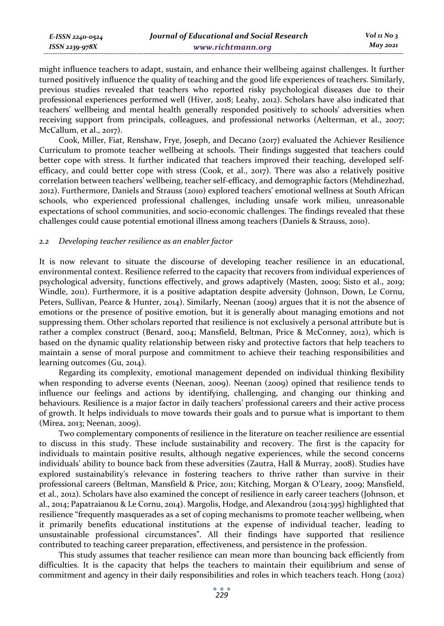| E-ISSN 2240-0524    | Journal of Educational and Social Research | $Vol_1N_0$ 3 |
|---------------------|--------------------------------------------|--------------|
| $ISSN$ 2239-97 $8X$ | www.richtmann.org                          | May 2021     |

might influence teachers to adapt, sustain, and enhance their wellbeing against challenges. It further turned positively influence the quality of teaching and the good life experiences of teachers. Similarly, previous studies revealed that teachers who reported risky psychological diseases due to their professional experiences performed well (Hiver, 2018; Leahy, 2012). Scholars have also indicated that teachers' wellbeing and mental health generally responded positively to schools' adversities when receiving support from principals, colleagues, and professional networks (Aelterman, et al., 2007; McCallum, et al., 2017).

Cook, Miller, Fiat, Renshaw, Frye, Joseph, and Decano (2017) evaluated the Achiever Resilience Curriculum to promote teacher wellbeing at schools. Their findings suggested that teachers could better cope with stress. It further indicated that teachers improved their teaching, developed selfefficacy, and could better cope with stress (Cook, et al., 2017). There was also a relatively positive correlation between teachers' wellbeing, teacher self-efficacy, and demographic factors (Mehdinezhad, 2012). Furthermore, Daniels and Strauss (2010) explored teachers' emotional wellness at South African schools, who experienced professional challenges, including unsafe work milieu, unreasonable expectations of school communities, and socio-economic challenges. The findings revealed that these challenges could cause potential emotional illness among teachers (Daniels & Strauss, 2010).

## *2.2 Developing teacher resilience as an enabler factor*

It is now relevant to situate the discourse of developing teacher resilience in an educational, environmental context. Resilience referred to the capacity that recovers from individual experiences of psychological adversity, functions effectively, and grows adaptively (Masten, 2009; Sisto et al., 2019; Windle, 2011). Furthermore, it is a positive adaptation despite adversity (Johnson, Down, Le Cornu, Peters, Sullivan, Pearce & Hunter, 2014). Similarly, Neenan (2009) argues that it is not the absence of emotions or the presence of positive emotion, but it is generally about managing emotions and not suppressing them. Other scholars reported that resilience is not exclusively a personal attribute but is rather a complex construct (Benard, 2004; Mansfield, Beltman, Price & McConney, 2012), which is based on the dynamic quality relationship between risky and protective factors that help teachers to maintain a sense of moral purpose and commitment to achieve their teaching responsibilities and learning outcomes (Gu, 2014).

Regarding its complexity, emotional management depended on individual thinking flexibility when responding to adverse events (Neenan, 2009). Neenan (2009) opined that resilience tends to influence our feelings and actions by identifying, challenging, and changing our thinking and behaviours. Resilience is a major factor in daily teachers' professional careers and their active process of growth. It helps individuals to move towards their goals and to pursue what is important to them (Mirea, 2013; Neenan, 2009).

Two complementary components of resilience in the literature on teacher resilience are essential to discuss in this study. These include sustainability and recovery. The first is the capacity for individuals to maintain positive results, although negative experiences, while the second concerns individuals' ability to bounce back from these adversities (Zautra, Hall & Murray, 2008). Studies have explored sustainability's relevance in fostering teachers to thrive rather than survive in their professional careers (Beltman, Mansfield & Price, 2011; Kitching, Morgan & O'Leary, 2009; Mansfield, et al., 2012). Scholars have also examined the concept of resilience in early career teachers (Johnson, et al., 2014; Papatraianou & Le Cornu, 2014). Margolis, Hodge, and Alexandrou (2014:395) highlighted that resilience "frequently masquerades as a set of coping mechanisms to promote teacher wellbeing, when it primarily benefits educational institutions at the expense of individual teacher, leading to unsustainable professional circumstances". All their findings have supported that resilience contributed to teaching career preparation, effectiveness, and persistence in the profession.

This study assumes that teacher resilience can mean more than bouncing back efficiently from difficulties. It is the capacity that helps the teachers to maintain their equilibrium and sense of commitment and agency in their daily responsibilities and roles in which teachers teach. Hong (2012)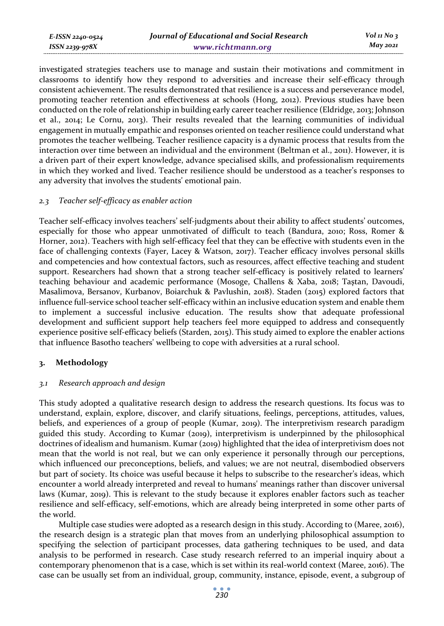investigated strategies teachers use to manage and sustain their motivations and commitment in classrooms to identify how they respond to adversities and increase their self-efficacy through consistent achievement. The results demonstrated that resilience is a success and perseverance model, promoting teacher retention and effectiveness at schools (Hong, 2012). Previous studies have been conducted on the role of relationship in building early career teacher resilience (Eldridge, 2013; Johnson et al., 2014; Le Cornu, 2013). Their results revealed that the learning communities of individual engagement in mutually empathic and responses oriented on teacher resilience could understand what promotes the teacher wellbeing. Teacher resilience capacity is a dynamic process that results from the interaction over time between an individual and the environment (Beltman et al., 2011). However, it is a driven part of their expert knowledge, advance specialised skills, and professionalism requirements in which they worked and lived. Teacher resilience should be understood as a teacher's responses to any adversity that involves the students' emotional pain.

## *2.3 Teacher self-efficacy as enabler action*

Teacher self-efficacy involves teachers' self-judgments about their ability to affect students' outcomes, especially for those who appear unmotivated of difficult to teach (Bandura, 2010; Ross, Romer & Horner, 2012). Teachers with high self-efficacy feel that they can be effective with students even in the face of challenging contexts (Fayer, Lacey & Watson, 2017). Teacher efficacy involves personal skills and competencies and how contextual factors, such as resources, affect effective teaching and student support. Researchers had shown that a strong teacher self-efficacy is positively related to learners' teaching behaviour and academic performance (Mosoge, Challens & Xaba, 2018; Taştan, Davoudi, Masalimova, Bersanov, Kurbanov, Boiarchuk & Pavlushin, 2018). Staden (2015) explored factors that influence full-service school teacher self-efficacy within an inclusive education system and enable them to implement a successful inclusive education. The results show that adequate professional development and sufficient support help teachers feel more equipped to address and consequently experience positive self-efficacy beliefs (Starden, 2015). This study aimed to explore the enabler actions that influence Basotho teachers' wellbeing to cope with adversities at a rural school.

# **3. Methodology**

# *3.1 Research approach and design*

This study adopted a qualitative research design to address the research questions. Its focus was to understand, explain, explore, discover, and clarify situations, feelings, perceptions, attitudes, values, beliefs, and experiences of a group of people (Kumar, 2019). The interpretivism research paradigm guided this study. According to Kumar (2019), interpretivism is underpinned by the philosophical doctrines of idealism and humanism. Kumar (2019) highlighted that the idea of interpretivism does not mean that the world is not real, but we can only experience it personally through our perceptions, which influenced our preconceptions, beliefs, and values; we are not neutral, disembodied observers but part of society. Its choice was useful because it helps to subscribe to the researcher's ideas, which encounter a world already interpreted and reveal to humans' meanings rather than discover universal laws (Kumar, 2019). This is relevant to the study because it explores enabler factors such as teacher resilience and self-efficacy, self-emotions, which are already being interpreted in some other parts of the world.

Multiple case studies were adopted as a research design in this study. According to (Maree, 2016), the research design is a strategic plan that moves from an underlying philosophical assumption to specifying the selection of participant processes, data gathering techniques to be used, and data analysis to be performed in research. Case study research referred to an imperial inquiry about a contemporary phenomenon that is a case, which is set within its real-world context (Maree, 2016). The case can be usually set from an individual, group, community, instance, episode, event, a subgroup of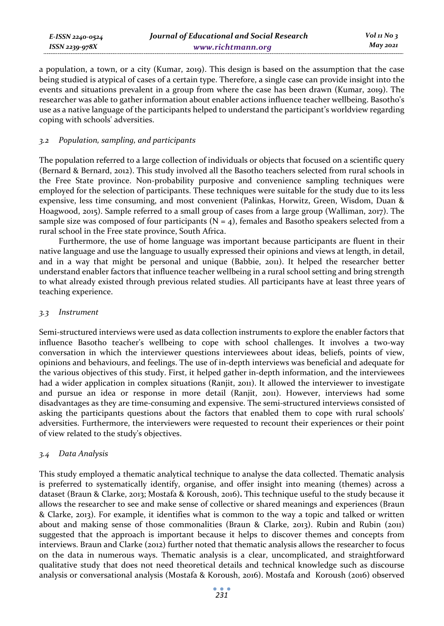a population, a town, or a city (Kumar, 2019). This design is based on the assumption that the case being studied is atypical of cases of a certain type. Therefore, a single case can provide insight into the events and situations prevalent in a group from where the case has been drawn (Kumar, 2019). The researcher was able to gather information about enabler actions influence teacher wellbeing. Basotho's use as a native language of the participants helped to understand the participant's worldview regarding coping with schools' adversities.

# *3.2 Population, sampling, and participants*

The population referred to a large collection of individuals or objects that focused on a scientific query (Bernard & Bernard, 2012). This study involved all the Basotho teachers selected from rural schools in the Free State province. Non-probability purposive and convenience sampling techniques were employed for the selection of participants. These techniques were suitable for the study due to its less expensive, less time consuming, and most convenient (Palinkas, Horwitz, Green, Wisdom, Duan & Hoagwood, 2015). Sample referred to a small group of cases from a large group (Walliman, 2017). The sample size was composed of four participants  $(N = 4)$ , females and Basotho speakers selected from a rural school in the Free state province, South Africa.

Furthermore, the use of home language was important because participants are fluent in their native language and use the language to usually expressed their opinions and views at length, in detail, and in a way that might be personal and unique (Babbie, 2011). It helped the researcher better understand enabler factors that influence teacher wellbeing in a rural school setting and bring strength to what already existed through previous related studies. All participants have at least three years of teaching experience.

## *3.3 Instrument*

Semi-structured interviews were used as data collection instruments to explore the enabler factors that influence Basotho teacher's wellbeing to cope with school challenges. It involves a two-way conversation in which the interviewer questions interviewees about ideas, beliefs, points of view, opinions and behaviours, and feelings. The use of in-depth interviews was beneficial and adequate for the various objectives of this study. First, it helped gather in-depth information, and the interviewees had a wider application in complex situations (Ranjit, 2011). It allowed the interviewer to investigate and pursue an idea or response in more detail (Ranjit, 2011). However, interviews had some disadvantages as they are time-consuming and expensive. The semi-structured interviews consisted of asking the participants questions about the factors that enabled them to cope with rural schools' adversities. Furthermore, the interviewers were requested to recount their experiences or their point of view related to the study's objectives.

# *3.4 Data Analysis*

This study employed a thematic analytical technique to analyse the data collected. Thematic analysis is preferred to systematically identify, organise, and offer insight into meaning (themes) across a dataset (Braun & Clarke, 2013; Mostafa & Koroush, 2016)**.** This technique useful to the study because it allows the researcher to see and make sense of collective or shared meanings and experiences (Braun & Clarke, 2013). For example, it identifies what is common to the way a topic and talked or written about and making sense of those commonalities (Braun & Clarke, 2013). Rubin and Rubin (2011) suggested that the approach is important because it helps to discover themes and concepts from interviews. Braun and Clarke (2012) further noted that thematic analysis allows the researcher to focus on the data in numerous ways. Thematic analysis is a clear, uncomplicated, and straightforward qualitative study that does not need theoretical details and technical knowledge such as discourse analysis or conversational analysis (Mostafa & Koroush, 2016). Mostafa and Koroush (2016) observed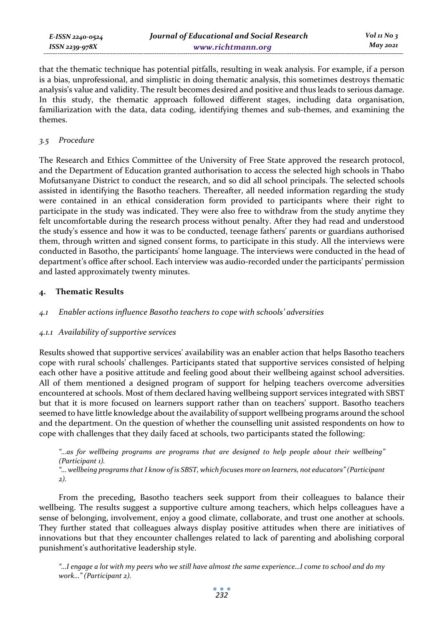that the thematic technique has potential pitfalls, resulting in weak analysis. For example, if a person is a bias, unprofessional, and simplistic in doing thematic analysis, this sometimes destroys thematic analysis's value and validity. The result becomes desired and positive and thus leads to serious damage. In this study, the thematic approach followed different stages, including data organisation, familiarization with the data, data coding, identifying themes and sub-themes, and examining the themes.

## *3.5 Procedure*

The Research and Ethics Committee of the University of Free State approved the research protocol, and the Department of Education granted authorisation to access the selected high schools in Thabo Mofutsanyane District to conduct the research, and so did all school principals. The selected schools assisted in identifying the Basotho teachers. Thereafter, all needed information regarding the study were contained in an ethical consideration form provided to participants where their right to participate in the study was indicated. They were also free to withdraw from the study anytime they felt uncomfortable during the research process without penalty. After they had read and understood the study's essence and how it was to be conducted, teenage fathers' parents or guardians authorised them, through written and signed consent forms, to participate in this study. All the interviews were conducted in Basotho, the participants' home language. The interviews were conducted in the head of department's office after school. Each interview was audio-recorded under the participants' permission and lasted approximately twenty minutes.

# **4. Thematic Results**

# *4.1 Enabler actions influence Basotho teachers to cope with schools' adversities*

# *4.1.1 Availability of supportive services*

Results showed that supportive services' availability was an enabler action that helps Basotho teachers cope with rural schools' challenges. Participants stated that supportive services consisted of helping each other have a positive attitude and feeling good about their wellbeing against school adversities. All of them mentioned a designed program of support for helping teachers overcome adversities encountered at schools. Most of them declared having wellbeing support services integrated with SBST but that it is more focused on learners support rather than on teachers' support. Basotho teachers seemed to have little knowledge about the availability of support wellbeing programs around the school and the department. On the question of whether the counselling unit assisted respondents on how to cope with challenges that they daily faced at schools, two participants stated the following:

*"…as for wellbeing programs are programs that are designed to help people about their wellbeing" (Participant 1).* 

*"… wellbeing programs that I know of is SBST, which focuses more on learners, not educators" (Participant 2).* 

From the preceding, Basotho teachers seek support from their colleagues to balance their wellbeing. The results suggest a supportive culture among teachers, which helps colleagues have a sense of belonging, involvement, enjoy a good climate, collaborate, and trust one another at schools. They further stated that colleagues always display positive attitudes when there are initiatives of innovations but that they encounter challenges related to lack of parenting and abolishing corporal punishment's authoritative leadership style.

*"…I engage a lot with my peers who we still have almost the same experience…I come to school and do my work…" (Participant 2).*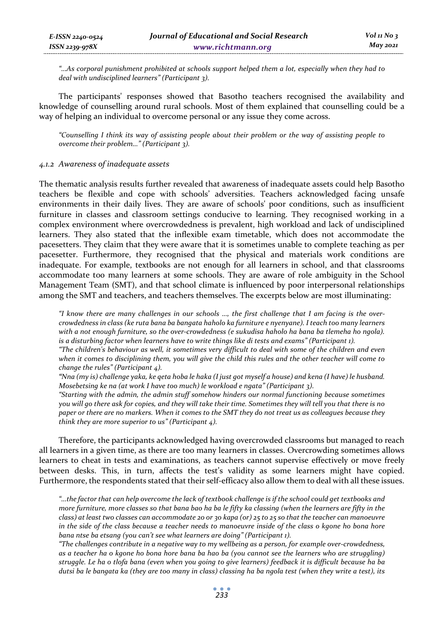*"…As corporal punishment prohibited at schools support helped them a lot, especially when they had to deal with undisciplined learners" (Participant 3).* 

The participants' responses showed that Basotho teachers recognised the availability and knowledge of counselling around rural schools. Most of them explained that counselling could be a way of helping an individual to overcome personal or any issue they come across.

*"Counselling I think its way of assisting people about their problem or the way of assisting people to overcome their problem…" (Participant 3).* 

## *4.1.2 Awareness of inadequate assets*

*E-ISSN 2240-0524 ISSN 2239-978X*

The thematic analysis results further revealed that awareness of inadequate assets could help Basotho teachers be flexible and cope with schools' adversities. Teachers acknowledged facing unsafe environments in their daily lives. They are aware of schools' poor conditions, such as insufficient furniture in classes and classroom settings conducive to learning. They recognised working in a complex environment where overcrowdedness is prevalent, high workload and lack of undisciplined learners. They also stated that the inflexible exam timetable, which does not accommodate the pacesetters. They claim that they were aware that it is sometimes unable to complete teaching as per pacesetter. Furthermore, they recognised that the physical and materials work conditions are inadequate. For example, textbooks are not enough for all learners in school, and that classrooms accommodate too many learners at some schools. They are aware of role ambiguity in the School Management Team (SMT), and that school climate is influenced by poor interpersonal relationships among the SMT and teachers, and teachers themselves. The excerpts below are most illuminating:

*"I know there are many challenges in our schools …, the first challenge that I am facing is the overcrowdedness in class (ke ruta bana ba bangata haholo ka furniture e nyenyane). I teach too many learners with a not enough furniture, so the over-crowdedness (e sukudisa haholo ha bana ba tlemeha ho ngola). is a disturbing factor when learners have to write things like di tests and exams" (Participant 1).* 

*"The children's behaviour as well, it sometimes very difficult to deal with some of the children and even when it comes to disciplining them, you will give the child this rules and the other teacher will come to change the rules" (Participant 4).* 

*"Nna (my is) challenge yaka, ke qeta hoba le haka (I just got myself a house) and kena (I have) le husband. Mosebetsing ke na (at work I have too much) le workload e ngata" (Participant 3).* 

*"Starting with the admin, the admin stuff somehow hinders our normal functioning because sometimes you will go there ask for copies, and they will take their time. Sometimes they will tell you that there is no paper or there are no markers. When it comes to the SMT they do not treat us as colleagues because they think they are more superior to us" (Participant 4).* 

Therefore, the participants acknowledged having overcrowded classrooms but managed to reach all learners in a given time, as there are too many learners in classes. Overcrowding sometimes allows learners to cheat in tests and examinations, as teachers cannot supervise effectively or move freely between desks. This, in turn, affects the test's validity as some learners might have copied. Furthermore, the respondents stated that their self-efficacy also allow them to deal with all these issues.

*"…the factor that can help overcome the lack of textbook challenge is if the school could get textbooks and more furniture, more classes so that bana bao ha ba le fifty ka classing (when the learners are fifty in the class) at least two classes can accommodate 20 or 30 kapa (or) 25 to 25 so that the teacher can manoeuvre in the side of the class because a teacher needs to manoeuvre inside of the class o kgone ho bona hore bana ntse ba etsang (you can't see what learners are doing" (Participant 1).* 

*"The challenges contribute in a negative way to my wellbeing as a person, for example over-crowdedness, as a teacher ha o kgone ho bona hore bana ba hao ba (you cannot see the learners who are struggling) struggle. Le ha o tlofa bana (even when you going to give learners) feedback it is difficult because ha ba dutsi ba le bangata ka (they are too many in class) classing ha ba ngola test (when they write a test), its*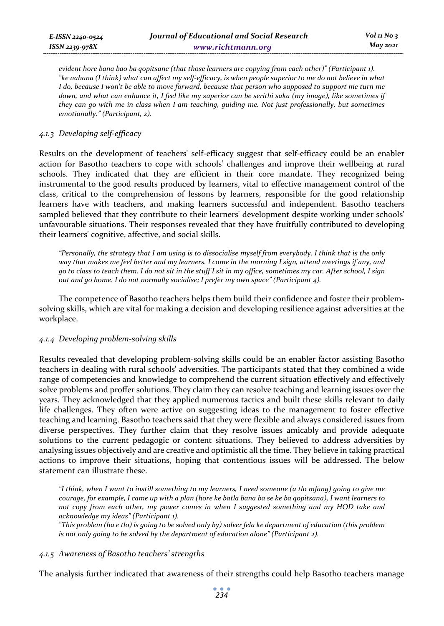*evident hore bana bao ba qopitsane (that those learners are copying from each other)" (Participant 1). "ke nahana (I think) what can affect my self-efficacy, is when people superior to me do not believe in what I* do, because *I* won't be able to move forward, because that person who supposed to support me turn me *down, and what can enhance it, I feel like my superior can be serithi saka (my image), like sometimes if they can go with me in class when I am teaching, guiding me. Not just professionally, but sometimes emotionally." (Participant, 2).* 

## *4.1.3 Developing self-efficacy*

Results on the development of teachers' self-efficacy suggest that self-efficacy could be an enabler action for Basotho teachers to cope with schools' challenges and improve their wellbeing at rural schools. They indicated that they are efficient in their core mandate. They recognized being instrumental to the good results produced by learners, vital to effective management control of the class, critical to the comprehension of lessons by learners, responsible for the good relationship learners have with teachers, and making learners successful and independent. Basotho teachers sampled believed that they contribute to their learners' development despite working under schools' unfavourable situations. Their responses revealed that they have fruitfully contributed to developing their learners' cognitive, affective, and social skills.

*"Personally, the strategy that I am using is to dissocialise myself from everybody. I think that is the only way that makes me feel better and my learners. I come in the morning I sign, attend meetings if any, and go to class to teach them. I do not sit in the stuff I sit in my office, sometimes my car. After school, I sign out and go home. I do not normally socialise; I prefer my own space" (Participant 4).* 

The competence of Basotho teachers helps them build their confidence and foster their problemsolving skills, which are vital for making a decision and developing resilience against adversities at the workplace.

## *4.1.4 Developing problem-solving skills*

Results revealed that developing problem-solving skills could be an enabler factor assisting Basotho teachers in dealing with rural schools' adversities. The participants stated that they combined a wide range of competencies and knowledge to comprehend the current situation effectively and effectively solve problems and proffer solutions. They claim they can resolve teaching and learning issues over the years. They acknowledged that they applied numerous tactics and built these skills relevant to daily life challenges. They often were active on suggesting ideas to the management to foster effective teaching and learning. Basotho teachers said that they were flexible and always considered issues from diverse perspectives. They further claim that they resolve issues amicably and provide adequate solutions to the current pedagogic or content situations. They believed to address adversities by analysing issues objectively and are creative and optimistic all the time. They believe in taking practical actions to improve their situations, hoping that contentious issues will be addressed. The below statement can illustrate these.

*"I think, when I want to instill something to my learners, I need someone (a tlo mfang) going to give me courage, for example, I came up with a plan (hore ke batla bana ba se ke ba qopitsana), I want learners to not copy from each other, my power comes in when I suggested something and my HOD take and acknowledge my ideas" (Participant 1).* 

*"This problem (ha e tlo) is going to be solved only by) solver fela ke department of education (this problem is not only going to be solved by the department of education alone" (Participant 2).* 

## *4.1.5 Awareness of Basotho teachers' strengths*

The analysis further indicated that awareness of their strengths could help Basotho teachers manage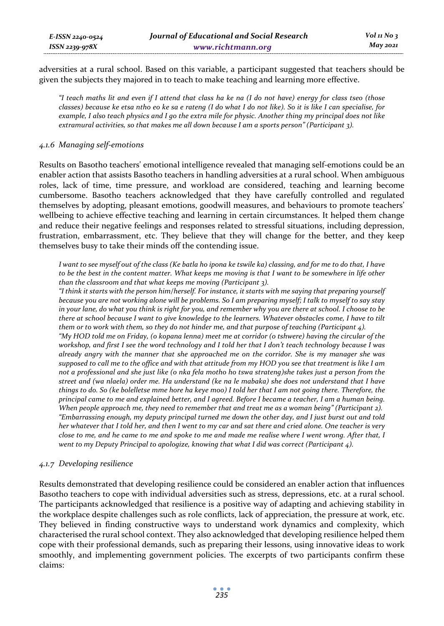adversities at a rural school. Based on this variable, a participant suggested that teachers should be given the subjects they majored in to teach to make teaching and learning more effective.

*"I teach maths lit and even if I attend that class ha ke na (I do not have) energy for class tseo (those classes) because ke etsa ntho eo ke sa e rateng (I do what I do not like). So it is like I can specialise, for example, I also teach physics and I go the extra mile for physic. Another thing my principal does not like extramural activities, so that makes me all down because I am a sports person" (Participant 3).* 

## *4.1.6 Managing self-emotions*

Results on Basotho teachers' emotional intelligence revealed that managing self-emotions could be an enabler action that assists Basotho teachers in handling adversities at a rural school. When ambiguous roles, lack of time, time pressure, and workload are considered, teaching and learning become cumbersome. Basotho teachers acknowledged that they have carefully controlled and regulated themselves by adopting, pleasant emotions, goodwill measures, and behaviours to promote teachers' wellbeing to achieve effective teaching and learning in certain circumstances. It helped them change and reduce their negative feelings and responses related to stressful situations, including depression, frustration, embarrassment, etc. They believe that they will change for the better, and they keep themselves busy to take their minds off the contending issue.

*I want to see myself out of the class (Ke batla ho ipona ke tswile ka) classing, and for me to do that, I have to be the best in the content matter. What keeps me moving is that I want to be somewhere in life other than the classroom and that what keeps me moving (Participant 3).* 

*"I think it starts with the person him/herself. For instance, it starts with me saying that preparing yourself because you are not working alone will be problems. So I am preparing myself; I talk to myself to say stay in your lane, do what you think is right for you, and remember why you are there at school. I choose to be there at school because I want to give knowledge to the learners. Whatever obstacles come, I have to tilt them or to work with them, so they do not hinder me, and that purpose of teaching (Participant 4). "My HOD told me on Friday, (o kopana lenna) meet me at corridor (o tshwere) having the circular of the workshop, and first I see the word technology and I told her that I don't teach technology because I was already angry with the manner that she approached me on the corridor. She is my manager she was supposed to call me to the office and with that attitude from my HOD you see that treatment is like I am not a professional and she just like (o nka fela motho ho tswa strateng)she takes just a person from the street and (wa nlaela) order me. Ha understand (ke na le mabaka) she does not understand that I have things to do. So (ke bolelletse mme hore ha keye moo) I told her that I am not going there. Therefore, the principal came to me and explained better, and I agreed. Before I became a teacher, I am a human being. When people approach me, they need to remember that and treat me as a woman being" (Participant 2). "Embarrassing enough, my deputy principal turned me down the other day, and I just burst out and told her whatever that I told her, and then I went to my car and sat there and cried alone. One teacher is very close to me, and he came to me and spoke to me and made me realise where I went wrong. After that, I went to my Deputy Principal to apologize, knowing that what I did was correct (Participant 4).* 

# *4.1.7 Developing resilience*

Results demonstrated that developing resilience could be considered an enabler action that influences Basotho teachers to cope with individual adversities such as stress, depressions, etc. at a rural school. The participants acknowledged that resilience is a positive way of adapting and achieving stability in the workplace despite challenges such as role conflicts, lack of appreciation, the pressure at work, etc. They believed in finding constructive ways to understand work dynamics and complexity, which characterised the rural school context. They also acknowledged that developing resilience helped them cope with their professional demands, such as preparing their lessons, using innovative ideas to work smoothly, and implementing government policies. The excerpts of two participants confirm these claims: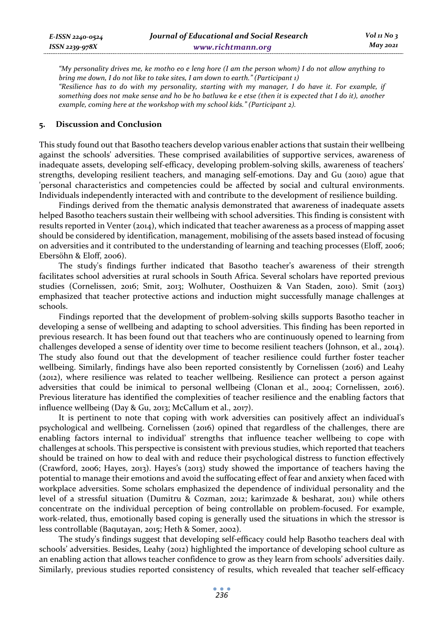*"My personality drives me, ke motho eo e leng hore (I am the person whom) I do not allow anything to bring me down, I do not like to take sites, I am down to earth." (Participant 1) "Resilience has to do with my personality, starting with my manager, I do have it. For example, if something does not make sense and ho be ho batluwa ke e etse (then it is expected that I do it), another example, coming here at the workshop with my school kids." (Participant 2).* 

## **5. Discussion and Conclusion**

This study found out that Basotho teachers develop various enabler actions that sustain their wellbeing against the schools' adversities. These comprised availabilities of supportive services, awareness of inadequate assets, developing self-efficacy, developing problem-solving skills, awareness of teachers' strengths, developing resilient teachers, and managing self-emotions. Day and Gu (2010) ague that 'personal characteristics and competencies could be affected by social and cultural environments. Individuals independently interacted with and contribute to the development of resilience building.

Findings derived from the thematic analysis demonstrated that awareness of inadequate assets helped Basotho teachers sustain their wellbeing with school adversities. This finding is consistent with results reported in Venter (2014), which indicated that teacher awareness as a process of mapping asset should be considered by identification, management, mobilising of the assets based instead of focusing on adversities and it contributed to the understanding of learning and teaching processes (Eloff, 2006; Ebersöhn & Eloff, 2006).

The study's findings further indicated that Basotho teacher's awareness of their strength facilitates school adversities at rural schools in South Africa. Several scholars have reported previous studies (Cornelissen, 2016; Smit, 2013; Wolhuter, Oosthuizen & Van Staden, 2010). Smit (2013) emphasized that teacher protective actions and induction might successfully manage challenges at schools.

Findings reported that the development of problem-solving skills supports Basotho teacher in developing a sense of wellbeing and adapting to school adversities. This finding has been reported in previous research. It has been found out that teachers who are continuously opened to learning from challenges developed a sense of identity over time to become resilient teachers (Johnson, et al., 2014). The study also found out that the development of teacher resilience could further foster teacher wellbeing. Similarly, findings have also been reported consistently by Cornelissen (2016) and Leahy (2012), where resilience was related to teacher wellbeing. Resilience can protect a person against adversities that could be inimical to personal wellbeing (Clonan et al., 2004; Cornelissen, 2016). Previous literature has identified the complexities of teacher resilience and the enabling factors that influence wellbeing (Day & Gu, 2013; McCallum et al., 2017).

It is pertinent to note that coping with work adversities can positively affect an individual's psychological and wellbeing. Cornelissen (2016) opined that regardless of the challenges, there are enabling factors internal to individual' strengths that influence teacher wellbeing to cope with challenges at schools. This perspective is consistent with previous studies, which reported that teachers should be trained on how to deal with and reduce their psychological distress to function effectively (Crawford, 2006; Hayes, 2013). Hayes's (2013) study showed the importance of teachers having the potential to manage their emotions and avoid the suffocating effect of fear and anxiety when faced with workplace adversities. Some scholars emphasized the dependence of individual personality and the level of a stressful situation (Dumitru & Cozman, 2012; karimzade & besharat, 2011) while others concentrate on the individual perception of being controllable on problem-focused. For example, work-related, thus, emotionally based coping is generally used the situations in which the stressor is less controllable (Baqutayan, 2015; Heth & Somer, 2002).

The study's findings suggest that developing self-efficacy could help Basotho teachers deal with schools' adversities. Besides, Leahy (2012) highlighted the importance of developing school culture as an enabling action that allows teacher confidence to grow as they learn from schools' adversities daily. Similarly, previous studies reported consistency of results, which revealed that teacher self-efficacy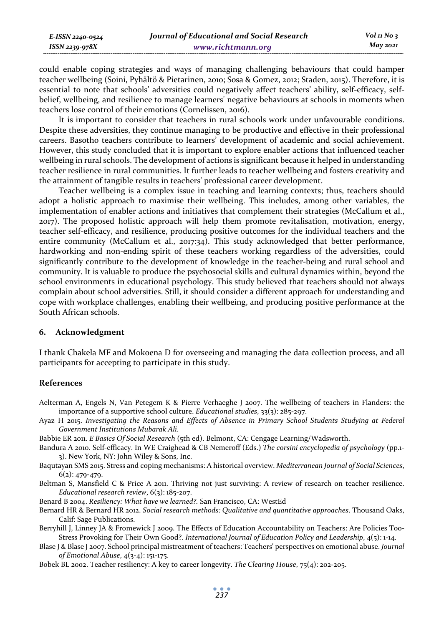| E-ISSN 2240-0524 | Journal of Educational and Social Research | $Vol_1N_0$ 3 |
|------------------|--------------------------------------------|--------------|
| ISSN 2239-978X   | www.richtmann.org                          | May 2021     |

could enable coping strategies and ways of managing challenging behaviours that could hamper teacher wellbeing (Soini, Pyhältö & Pietarinen, 2010; Sosa & Gomez, 2012; Staden, 2015). Therefore, it is essential to note that schools' adversities could negatively affect teachers' ability, self-efficacy, selfbelief, wellbeing, and resilience to manage learners' negative behaviours at schools in moments when teachers lose control of their emotions (Cornelissen, 2016).

It is important to consider that teachers in rural schools work under unfavourable conditions. Despite these adversities, they continue managing to be productive and effective in their professional careers. Basotho teachers contribute to learners' development of academic and social achievement. However, this study concluded that it is important to explore enabler actions that influenced teacher wellbeing in rural schools. The development of actions is significant because it helped in understanding teacher resilience in rural communities. It further leads to teacher wellbeing and fosters creativity and the attainment of tangible results in teachers' professional career development.

Teacher wellbeing is a complex issue in teaching and learning contexts; thus, teachers should adopt a holistic approach to maximise their wellbeing. This includes, among other variables, the implementation of enabler actions and initiatives that complement their strategies (McCallum et al., 2017). The proposed holistic approach will help them promote revitalisation, motivation, energy, teacher self-efficacy, and resilience, producing positive outcomes for the individual teachers and the entire community (McCallum et al., 2017:34). This study acknowledged that better performance, hardworking and non-ending spirit of these teachers working regardless of the adversities, could significantly contribute to the development of knowledge in the teacher-being and rural school and community. It is valuable to produce the psychosocial skills and cultural dynamics within, beyond the school environments in educational psychology. This study believed that teachers should not always complain about school adversities. Still, it should consider a different approach for understanding and cope with workplace challenges, enabling their wellbeing, and producing positive performance at the South African schools.

#### **6. Acknowledgment**

I thank Chakela MF and Mokoena D for overseeing and managing the data collection process, and all participants for accepting to participate in this study.

#### **References**

- Aelterman A, Engels N, Van Petegem K & Pierre Verhaeghe J 2007. The wellbeing of teachers in Flanders: the importance of a supportive school culture. *Educational studies*, 33(3): 285-297.
- Ayaz H 2015. *Investigating the Reasons and Effects of Absence in Primary School Students Studying at Federal Government Institutions Mubarak Ali*.
- Babbie ER 2011. *E Basics Of Social Research* (5th ed). Belmont, CA: Cengage Learning/Wadsworth.
- Bandura A 2010. Self-efficacy. In WE Craighead & CB Nemeroff (Eds.) *The corsini encyclopedia of psychology* (pp.1- 3). New York, NY: John Wiley & Sons, Inc.
- Baqutayan SMS 2015. Stress and coping mechanisms: A historical overview. *Mediterranean Journal of Social Sciences*, 6(2): 479-479.
- Beltman S, Mansfield C & Price A 2011. Thriving not just surviving: A review of research on teacher resilience. *Educational research review*, 6(3): 185-207.
- Benard B 2004. *Resiliency: What have we learned?.* San Francisco, CA: WestEd
- Bernard HR & Bernard HR 2012. *Social research methods: Qualitative and quantitative approaches*. Thousand Oaks, Calif: Sage Publications.
- Berryhill J, Linney JA & Fromewick J 2009. The Effects of Education Accountability on Teachers: Are Policies Too-Stress Provoking for Their Own Good?. *International Journal of Education Policy and Leadership*, 4(5): 1-14.
- Blase J & Blase J 2007. School principal mistreatment of teachers: Teachers' perspectives on emotional abuse. *Journal of Emotional Abuse*, 4(3-4): 151-175.
- Bobek BL 2002. Teacher resiliency: A key to career longevity. *The Clearing House*, 75(4): 202-205.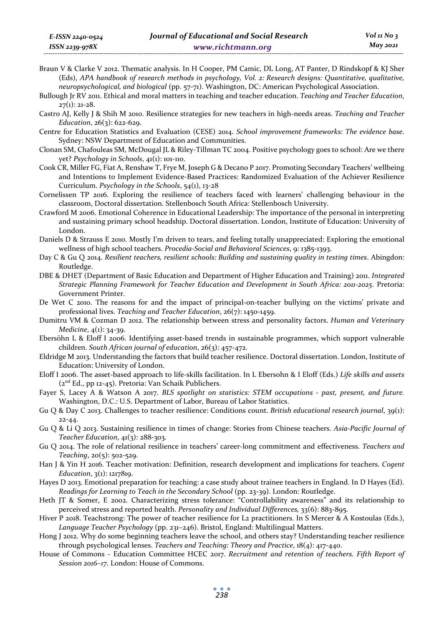Bullough Jr RV 2011. Ethical and moral matters in teaching and teacher education. *Teaching and Teacher Education*,  $27(1)$ : 21-28.

- Castro AJ, Kelly J & Shih M 2010. Resilience strategies for new teachers in high-needs areas. *Teaching and Teacher Education*, 26(3): 622-629.
- Centre for Education Statistics and Evaluation (CESE) 2014. *School improvement frameworks: The evidence base*. Sydney: NSW Department of Education and Communities.
- Clonan SM, Chafouleas SM, McDougal JL & Riley-Tillman TC 2004. Positive psychology goes to school: Are we there yet? *Psychology in Schools*, 41(1): 101-110.
- Cook CR, Miller FG, Fiat A, Renshaw T, Frye M, Joseph G & Decano P 2017. Promoting Secondary Teachers' wellbeing and Intentions to Implement Evidence-Based Practices: Randomized Evaluation of the Achiever Resilience Curriculum. *Psychology in the Schools*, 54(1), 13-28
- Cornelissen TP 2016. Exploring the resilience of teachers faced with learners' challenging behaviour in the classroom, Doctoral dissertation. Stellenbosch South Africa: Stellenbosch University.
- Crawford M 2006. Emotional Coherence in Educational Leadership: The importance of the personal in interpreting and sustaining primary school headship. Doctoral dissertation. London, Institute of Education: University of London.
- Daniels D & Strauss E 2010. Mostly I'm driven to tears, and feeling totally unappreciated: Exploring the emotional wellness of high school teachers. *Procedia-Social and Behavioral Sciences*, 9: 1385-1393.
- Day C & Gu Q 2014. *Resilient teachers, resilient schools: Building and sustaining quality in testing times*. Abingdon: Routledge.
- DBE & DHET (Department of Basic Education and Department of Higher Education and Training) 2011. *Integrated Strategic Planning Framework for Teacher Education and Development in South Africa: 2011-2025*. Pretoria: Government Printer.
- De Wet C 2010. The reasons for and the impact of principal-on-teacher bullying on the victims' private and professional lives. *Teaching and Teacher Education*, 26(7): 1450-1459.
- Dumitru VM & Cozman D 2012. The relationship between stress and personality factors. *Human and Veterinary Medicine*, 4(1): 34-39.
- Ebersöhn L & Eloff I 2006. Identifying asset-based trends in sustainable programmes, which support vulnerable children. *South African journal of education*, 26(3): 457-472.
- Eldridge M 2013. Understanding the factors that build teacher resilience. Doctoral dissertation. London, Institute of Education: University of London.
- Eloff I 2006. The asset-based approach to life-skills facilitation. In L Ebersohn & I Eloff (Eds.) *Life skills and assets*  $(z<sup>nd</sup> Ed., pp 12-45)$ . Pretoria: Van Schaik Publichers.
- Fayer S, Lacey A & Watson A 2017. *BLS spotlight on statistics: STEM occupations past, present, and future.* Washington, D.C.: U.S. Department of Labor, Bureau of Labor Statistics.
- Gu Q & Day C 2013. Challenges to teacher resilience: Conditions count. *British educational research journal*, 39(1): 22-44.
- Gu Q & Li Q 2013. Sustaining resilience in times of change: Stories from Chinese teachers. *Asia-Pacific Journal of Teacher Education*, 41(3): 288-303.
- Gu Q 2014. The role of relational resilience in teachers' career-long commitment and effectiveness. *Teachers and Teaching*, 20(5): 502-529.
- Han J & Yin H 2016. Teacher motivation: Definition, research development and implications for teachers. *Cogent Education*, 3(1): 1217819.
- Hayes D 2013. Emotional preparation for teaching: a case study about trainee teachers in England. In D Hayes (Ed). *Readings for Learning to Teach in the Secondary School* (pp. 23-39). London: Routledge.
- Heth JT & Somer, E 2002. Characterizing stress tolerance: "Controllability awareness" and its relationship to perceived stress and reported health. *Personality and Individual Differences,* 33(6): 883-895.
- Hiver P 2018. Teachstrong: The power of teacher resilience for L2 practitioners. In S Mercer & A Kostoulas (Eds.), *Language Teacher Psychology* (pp. 231–246). Bristol, England: Multilingual Matters.
- Hong J 2012. Why do some beginning teachers leave the school, and others stay? Understanding teacher resilience through psychological lenses. *Teachers and Teaching: Theory and Practice*, 18(4): 417-440.
- House of Commons Education Committee HCEC 2017. *Recruitment and retention of teachers. Fifth Report of Session 2016–17*. London: House of Commons.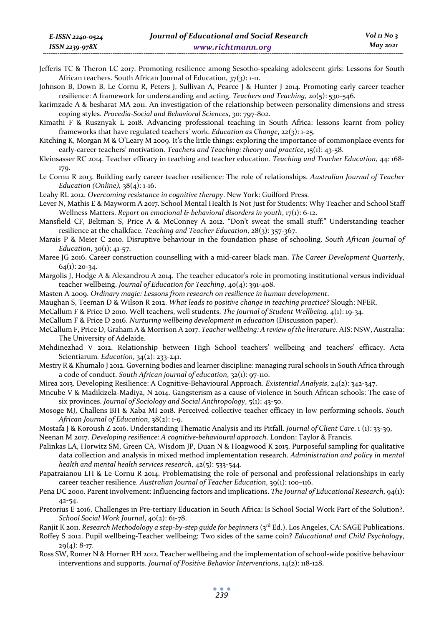- Jefferis TC & Theron LC 2017. Promoting resilience among Sesotho-speaking adolescent girls: Lessons for South African teachers. South African Journal of Education, 37(3): 1-11.
- Johnson B, Down B, Le Cornu R, Peters J, Sullivan A, Pearce J & Hunter J 2014. Promoting early career teacher resilience: A framework for understanding and acting. *Teachers and Teaching*, 20(5): 530-546.

karimzade A & besharat MA 2011. An investigation of the relationship between personality dimensions and stress coping styles. *Procedia-Social and Behavioral Sciences*, 30: 797-802.

Kimathi F & Rusznyak L 2018. Advancing professional teaching in South Africa: lessons learnt from policy frameworks that have regulated teachers' work. *Education as Change*, 22(3): 1-25.

- Kitching K, Morgan M & O'Leary M 2009. It's the little things: exploring the importance of commonplace events for early-career teachers' motivation. *Teachers and Teaching: theory and practice*, 15(1): 43-58.
- Kleinsasser RC 2014. Teacher efficacy in teaching and teacher education. *Teaching and Teacher Education*, 44: 168- 179.
- Le Cornu R 2013. Building early career teacher resilience: The role of relationships. *Australian Journal of Teacher Education (Online),* 38(4): 1-16.

Leahy RL 2012. *Overcoming resistance in cognitive therapy*. New York: Guilford Press.

Lever N, Mathis E & Mayworm A 2017. School Mental Health Is Not Just for Students: Why Teacher and School Staff Wellness Matters. *Report on emotional & behavioral disorders in youth*, 17(1): 6-12.

Mansfield CF, Beltman S, Price A & McConney A 2012. "Don't sweat the small stuff:" Understanding teacher resilience at the chalkface. *Teaching and Teacher Education*, 28(3): 357-367.

Marais P & Meier C 2010. Disruptive behaviour in the foundation phase of schooling. *South African Journal of Education*, 30(1): 41-57.

Maree JG 2016. Career construction counselling with a mid-career black man. *The Career Development Quarterly*,  $64(1): 20-34.$ 

- Margolis J, Hodge A & Alexandrou A 2014. The teacher educator's role in promoting institutional versus individual teacher wellbeing. *Journal of Education for Teaching*, 40(4): 391-408.
- Masten A 2009. *Ordinary magic: Lessons from research on resilience in human development*.
- Maughan S, Teeman D & Wilson R 2012. *What leads to positive change in teaching practice?* Slough: NFER.
- McCallum F & Price D 2010. Well teachers, well students. *The Journal of Student Wellbeing,* 4(1): 19-34.
- McCallum F & Price D 2016. *Nurturing wellbeing development in education* (Discussion paper).
- McCallum F, Price D, Graham A & Morrison A 2017. *Teacher wellbeing: A review of the literature*. AIS: NSW, Australia: The University of Adelaide.
- Mehdinezhad V 2012. Relationship between High School teachers' wellbeing and teachers' efficacy. Acta Scientiarum*. Education*, 34(2): 233-241.
- Mestry R & Khumalo J 2012. Governing bodies and learner discipline: managing rural schools in South Africa through a code of conduct. *South African journal of education*, 32(1): 97-110.
- Mirea 2013. Developing Resilience: A Cognitive-Behavioural Approach. *Existential Analysis*, 24(2): 342-347.
- Mncube V & Madikizela-Madiya, N 2014. Gangsterism as a cause of violence in South African schools: The case of six provinces. *Journal of Sociology and Social Anthropology*, 5(1): 43-50.
- Mosoge MJ, Challens BH & Xaba MI 2018. Perceived collective teacher efficacy in low performing schools. *South African Journal of Education*, 38(2): 1-9.
- Mostafa J & Koroush Z 2016. Understanding Thematic Analysis and its Pitfall. *Journal of Client Care*. 1 (1): 33-39,

Neenan M 2017. *Developing resilience: A cognitive-behavioural approach*. London: Taylor & Francis.

- Palinkas LA, Horwitz SM, Green CA, Wisdom JP, Duan N & Hoagwood K 2015. Purposeful sampling for qualitative data collection and analysis in mixed method implementation research. *Administration and policy in mental health and mental health services research*, 42(5): 533-544.
- Papatraianou LH & Le Cornu R 2014. Problematising the role of personal and professional relationships in early career teacher resilience. *Australian Journal of Teacher Education*, 39(1): 100–116.
- Pena DC 2000. Parent involvement: Influencing factors and implications. *The Journal of Educational Research*, 94(1): 42-54.
- Pretorius E 2016. Challenges in Pre-tertiary Education in South Africa: Is School Social Work Part of the Solution?. *School Social Work Journal*, 40(2): 61-78.

Ranjit K 2011. *Research Methodology a step-by-step quide for beginners* (3<sup>rd</sup> Ed.). Los Angeles, CA: SAGE Publications.

- Roffey S 2012. Pupil wellbeing-Teacher wellbeing: Two sides of the same coin? *Educational and Child Psychology*,  $29(4): 8-17.$
- Ross SW, Romer N & Horner RH 2012. Teacher wellbeing and the implementation of school-wide positive behaviour interventions and supports. *Journal of Positive Behavior Interventions*, 14(2): 118-128.